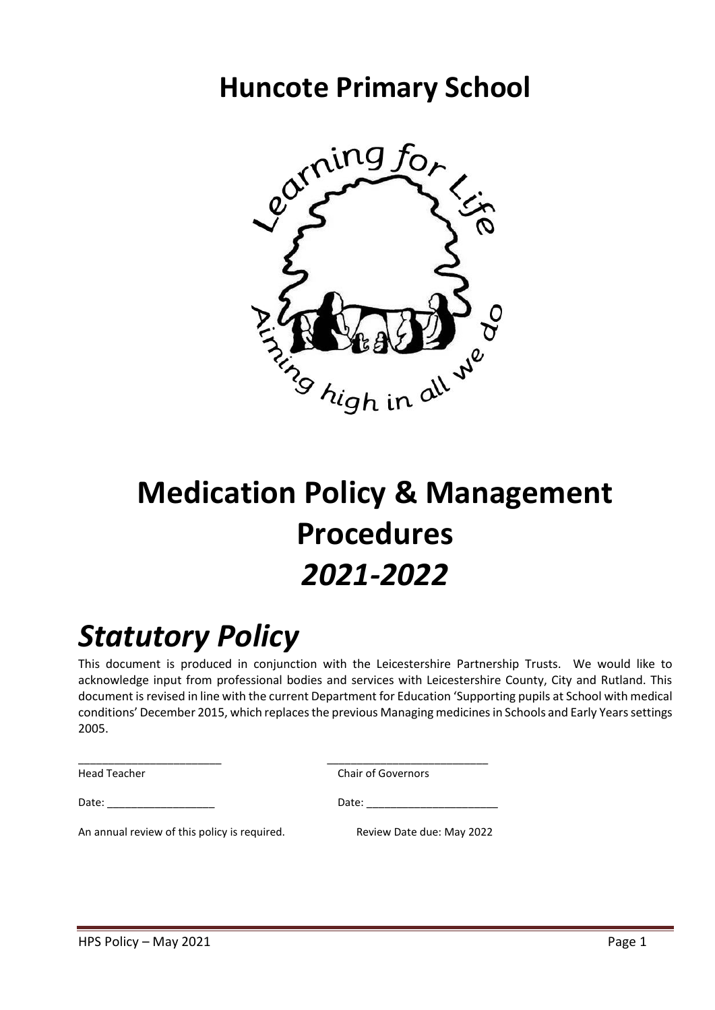# **Huncote Primary School**



# **Medication Policy & Management Procedures** *2021-2022*

# *Statutory Policy*

This document is produced in conjunction with the Leicestershire Partnership Trusts. We would like to acknowledge input from professional bodies and services with Leicestershire County, City and Rutland. This document is revised in line with the current Department for Education 'Supporting pupils at School with medical conditions' December 2015, which replaces the previous Managing medicines in Schools and Early Years settings 2005.

Head Teacher **Chair of Governors** 

\_\_\_\_\_\_\_\_\_\_\_\_\_\_\_\_\_\_\_\_\_\_\_\_ \_\_\_\_\_\_\_\_\_\_\_\_\_\_\_\_\_\_\_\_\_\_\_\_\_\_\_

Date: \_\_\_\_\_\_\_\_\_\_\_\_\_\_\_\_\_\_ Date: \_\_\_\_\_\_\_\_\_\_\_\_\_\_\_\_\_\_\_\_\_\_

An annual review of this policy is required. Review Date due: May 2022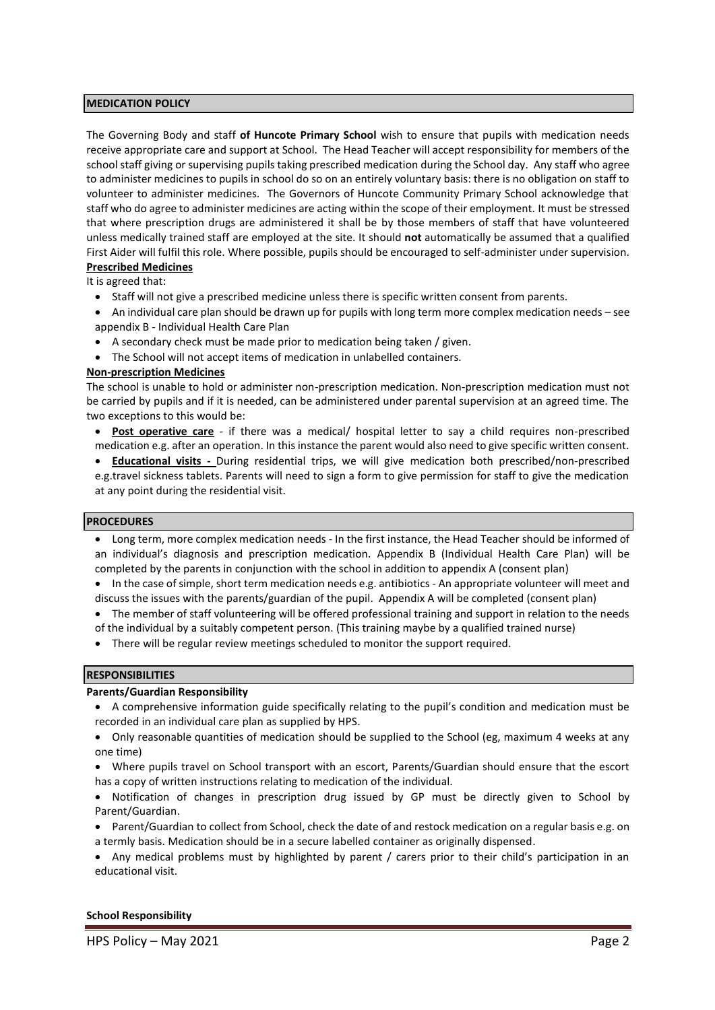#### **MEDICATION POLICY**

The Governing Body and staff **of Huncote Primary School** wish to ensure that pupils with medication needs receive appropriate care and support at School. The Head Teacher will accept responsibility for members of the school staff giving or supervising pupils taking prescribed medication during the School day. Any staff who agree to administer medicines to pupils in school do so on an entirely voluntary basis: there is no obligation on staff to volunteer to administer medicines. The Governors of Huncote Community Primary School acknowledge that staff who do agree to administer medicines are acting within the scope of their employment. It must be stressed that where prescription drugs are administered it shall be by those members of staff that have volunteered unless medically trained staff are employed at the site. It should **not** automatically be assumed that a qualified First Aider will fulfil this role. Where possible, pupils should be encouraged to self-administer under supervision. **Prescribed Medicines**

It is agreed that:

- Staff will not give a prescribed medicine unless there is specific written consent from parents.
- An individual care plan should be drawn up for pupils with long term more complex medication needs see appendix B - Individual Health Care Plan
- A secondary check must be made prior to medication being taken / given.
- The School will not accept items of medication in unlabelled containers.

#### **Non-prescription Medicines**

The school is unable to hold or administer non-prescription medication. Non-prescription medication must not be carried by pupils and if it is needed, can be administered under parental supervision at an agreed time. The two exceptions to this would be:

- **Post operative care** if there was a medical/ hospital letter to say a child requires non-prescribed medication e.g. after an operation. In this instance the parent would also need to give specific written consent.
- **Educational visits -** During residential trips, we will give medication both prescribed/non-prescribed e.g.travel sickness tablets. Parents will need to sign a form to give permission for staff to give the medication at any point during the residential visit.

#### **PROCEDURES**

- Long term, more complex medication needs In the first instance, the Head Teacher should be informed of an individual's diagnosis and prescription medication. Appendix B (Individual Health Care Plan) will be completed by the parents in conjunction with the school in addition to appendix A (consent plan)
- In the case of simple, short term medication needs e.g. antibiotics An appropriate volunteer will meet and discuss the issues with the parents/guardian of the pupil. Appendix A will be completed (consent plan)
- The member of staff volunteering will be offered professional training and support in relation to the needs of the individual by a suitably competent person. (This training maybe by a qualified trained nurse)
- There will be regular review meetings scheduled to monitor the support required.

#### **RESPONSIBILITIES**

#### **Parents/Guardian Responsibility**

- A comprehensive information guide specifically relating to the pupil's condition and medication must be recorded in an individual care plan as supplied by HPS.
- Only reasonable quantities of medication should be supplied to the School (eg, maximum 4 weeks at any one time)
- Where pupils travel on School transport with an escort, Parents/Guardian should ensure that the escort has a copy of written instructions relating to medication of the individual.
- Notification of changes in prescription drug issued by GP must be directly given to School by Parent/Guardian.
- Parent/Guardian to collect from School, check the date of and restock medication on a regular basis e.g. on a termly basis. Medication should be in a secure labelled container as originally dispensed.
- Any medical problems must by highlighted by parent / carers prior to their child's participation in an educational visit.

#### **School Responsibility**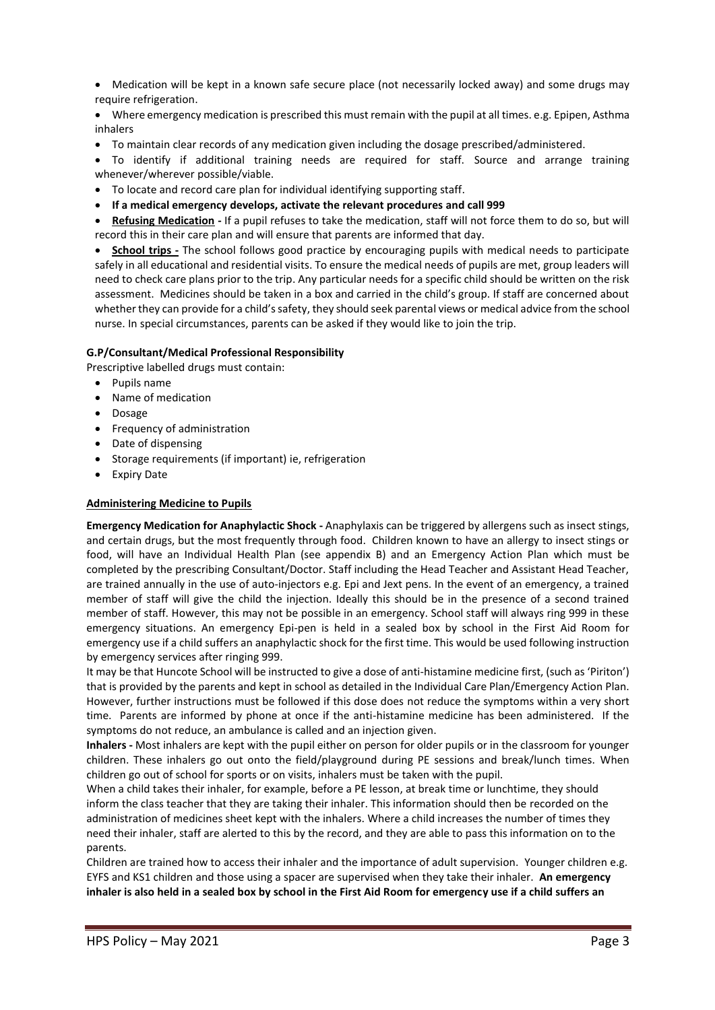- Medication will be kept in a known safe secure place (not necessarily locked away) and some drugs may require refrigeration.
- Where emergency medication is prescribed this must remain with the pupil at all times. e.g. Epipen, Asthma inhalers
- To maintain clear records of any medication given including the dosage prescribed/administered.
- To identify if additional training needs are required for staff. Source and arrange training whenever/wherever possible/viable.
- To locate and record care plan for individual identifying supporting staff.
- **If a medical emergency develops, activate the relevant procedures and call 999**

• **Refusing Medication -** If a pupil refuses to take the medication, staff will not force them to do so, but will record this in their care plan and will ensure that parents are informed that day.

• **School trips -** The school follows good practice by encouraging pupils with medical needs to participate safely in all educational and residential visits. To ensure the medical needs of pupils are met, group leaders will need to check care plans prior to the trip. Any particular needs for a specific child should be written on the risk assessment. Medicines should be taken in a box and carried in the child's group. If staff are concerned about whether they can provide for a child's safety, they should seek parental views or medical advice from the school nurse. In special circumstances, parents can be asked if they would like to join the trip.

#### **G.P/Consultant/Medical Professional Responsibility**

Prescriptive labelled drugs must contain:

- Pupils name
- Name of medication
- Dosage
- Frequency of administration
- Date of dispensing
- Storage requirements (if important) ie, refrigeration
- Expiry Date

#### **Administering Medicine to Pupils**

**Emergency Medication for Anaphylactic Shock -** Anaphylaxis can be triggered by allergens such as insect stings, and certain drugs, but the most frequently through food. Children known to have an allergy to insect stings or food, will have an Individual Health Plan (see appendix B) and an Emergency Action Plan which must be completed by the prescribing Consultant/Doctor. Staff including the Head Teacher and Assistant Head Teacher, are trained annually in the use of auto-injectors e.g. Epi and Jext pens. In the event of an emergency, a trained member of staff will give the child the injection. Ideally this should be in the presence of a second trained member of staff. However, this may not be possible in an emergency. School staff will always ring 999 in these emergency situations. An emergency Epi-pen is held in a sealed box by school in the First Aid Room for emergency use if a child suffers an anaphylactic shock for the first time. This would be used following instruction by emergency services after ringing 999.

It may be that Huncote School will be instructed to give a dose of anti-histamine medicine first, (such as 'Piriton') that is provided by the parents and kept in school as detailed in the Individual Care Plan/Emergency Action Plan. However, further instructions must be followed if this dose does not reduce the symptoms within a very short time. Parents are informed by phone at once if the anti-histamine medicine has been administered. If the symptoms do not reduce, an ambulance is called and an injection given.

**Inhalers -** Most inhalers are kept with the pupil either on person for older pupils or in the classroom for younger children. These inhalers go out onto the field/playground during PE sessions and break/lunch times. When children go out of school for sports or on visits, inhalers must be taken with the pupil.

When a child takes their inhaler, for example, before a PE lesson, at break time or lunchtime, they should inform the class teacher that they are taking their inhaler. This information should then be recorded on the administration of medicines sheet kept with the inhalers. Where a child increases the number of times they need their inhaler, staff are alerted to this by the record, and they are able to pass this information on to the parents.

Children are trained how to access their inhaler and the importance of adult supervision. Younger children e.g. EYFS and KS1 children and those using a spacer are supervised when they take their inhaler. **An emergency inhaler is also held in a sealed box by school in the First Aid Room for emergency use if a child suffers an**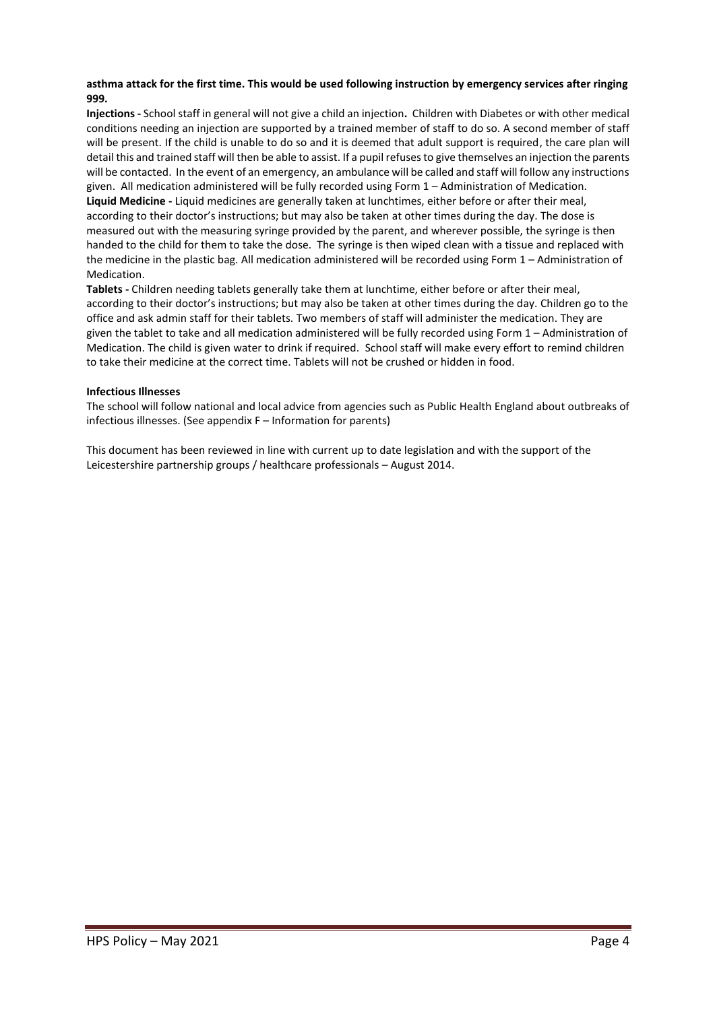#### **asthma attack for the first time. This would be used following instruction by emergency services after ringing 999.**

**Injections -** School staff in general will not give a child an injection**.** Children with Diabetes or with other medical conditions needing an injection are supported by a trained member of staff to do so. A second member of staff will be present. If the child is unable to do so and it is deemed that adult support is required, the care plan will detail this and trained staff will then be able to assist. If a pupil refuses to give themselves an injection the parents will be contacted. In the event of an emergency, an ambulance will be called and staff will follow any instructions given. All medication administered will be fully recorded using Form 1 – Administration of Medication. **Liquid Medicine -** Liquid medicines are generally taken at lunchtimes, either before or after their meal, according to their doctor's instructions; but may also be taken at other times during the day. The dose is measured out with the measuring syringe provided by the parent, and wherever possible, the syringe is then handed to the child for them to take the dose. The syringe is then wiped clean with a tissue and replaced with the medicine in the plastic bag. All medication administered will be recorded using Form 1 – Administration of Medication.

**Tablets -** Children needing tablets generally take them at lunchtime, either before or after their meal, according to their doctor's instructions; but may also be taken at other times during the day. Children go to the office and ask admin staff for their tablets. Two members of staff will administer the medication. They are given the tablet to take and all medication administered will be fully recorded using Form 1 – Administration of Medication. The child is given water to drink if required. School staff will make every effort to remind children to take their medicine at the correct time. Tablets will not be crushed or hidden in food.

#### **Infectious Illnesses**

The school will follow national and local advice from agencies such as Public Health England about outbreaks of infectious illnesses. (See appendix F – Information for parents)

This document has been reviewed in line with current up to date legislation and with the support of the Leicestershire partnership groups / healthcare professionals – August 2014.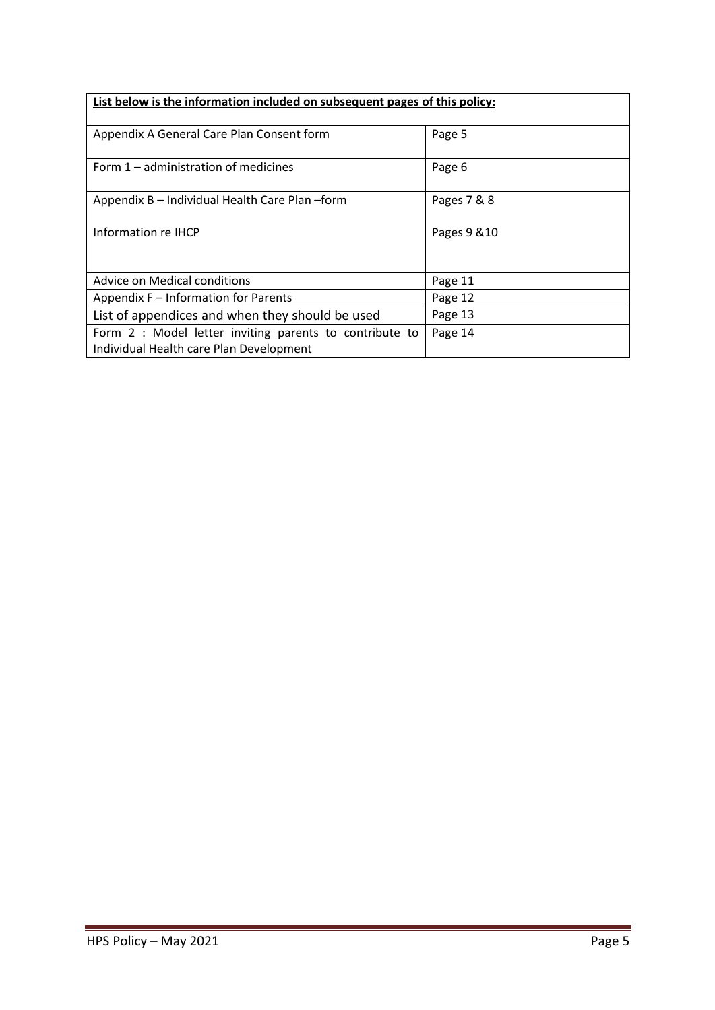| List below is the information included on subsequent pages of this policy: |              |
|----------------------------------------------------------------------------|--------------|
| Appendix A General Care Plan Consent form                                  | Page 5       |
| Form 1 – administration of medicines                                       | Page 6       |
| Appendix B - Individual Health Care Plan - form                            | Pages 7 & 8  |
| Information re IHCP                                                        | Pages 9 & 10 |
|                                                                            |              |
| Advice on Medical conditions                                               | Page 11      |
| Appendix F - Information for Parents                                       | Page 12      |
| List of appendices and when they should be used                            | Page 13      |
| Form 2 : Model letter inviting parents to contribute to                    | Page 14      |
| Individual Health care Plan Development                                    |              |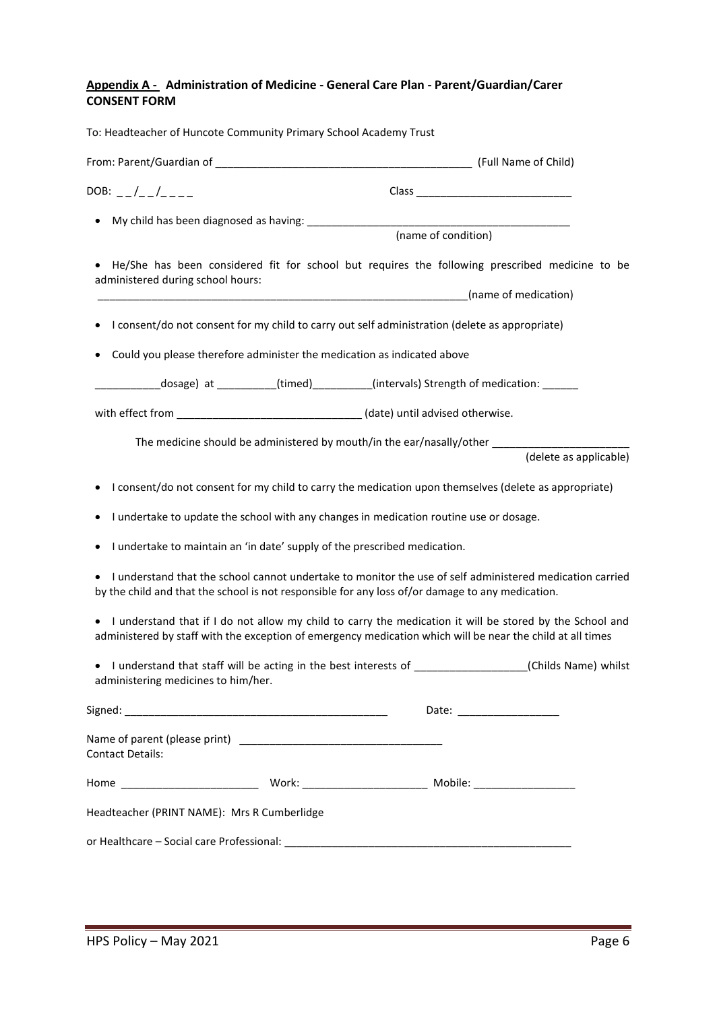### **Appendix A - Administration of Medicine - General Care Plan - Parent/Guardian/Carer CONSENT FORM**

| DOB: $_{-}/_{-}/_{---}$                                                                                                                           |                                                                                                          |                               |
|---------------------------------------------------------------------------------------------------------------------------------------------------|----------------------------------------------------------------------------------------------------------|-------------------------------|
|                                                                                                                                                   | (name of condition)                                                                                      |                               |
|                                                                                                                                                   |                                                                                                          |                               |
| • He/She has been considered fit for school but requires the following prescribed medicine to be<br>administered during school hours:             |                                                                                                          |                               |
|                                                                                                                                                   |                                                                                                          |                               |
|                                                                                                                                                   | I consent/do not consent for my child to carry out self administration (delete as appropriate)           |                               |
| Could you please therefore administer the medication as indicated above                                                                           |                                                                                                          |                               |
|                                                                                                                                                   | ___________dosage) at ___________(timed)___________(intervals) Strength of medication: _______           |                               |
| with effect from ___________________________________(date) until advised otherwise.                                                               |                                                                                                          |                               |
|                                                                                                                                                   |                                                                                                          |                               |
|                                                                                                                                                   |                                                                                                          | (delete as applicable)        |
|                                                                                                                                                   | I consent/do not consent for my child to carry the medication upon themselves (delete as appropriate)    |                               |
| ٠                                                                                                                                                 | I undertake to update the school with any changes in medication routine use or dosage.                   |                               |
| I undertake to maintain an 'in date' supply of the prescribed medication.<br>٠                                                                    |                                                                                                          |                               |
| by the child and that the school is not responsible for any loss of/or damage to any medication.                                                  | I understand that the school cannot undertake to monitor the use of self administered medication carried |                               |
| administered by staff with the exception of emergency medication which will be near the child at all times                                        | I understand that if I do not allow my child to carry the medication it will be stored by the School and |                               |
| • I understand that staff will be acting in the best interests of ____________________(Childs Name) whilst<br>administering medicines to him/her. |                                                                                                          |                               |
|                                                                                                                                                   |                                                                                                          | Date: _______________________ |
| Contact Details:                                                                                                                                  |                                                                                                          |                               |
|                                                                                                                                                   |                                                                                                          |                               |
|                                                                                                                                                   |                                                                                                          |                               |
| Headteacher (PRINT NAME): Mrs R Cumberlidge                                                                                                       |                                                                                                          |                               |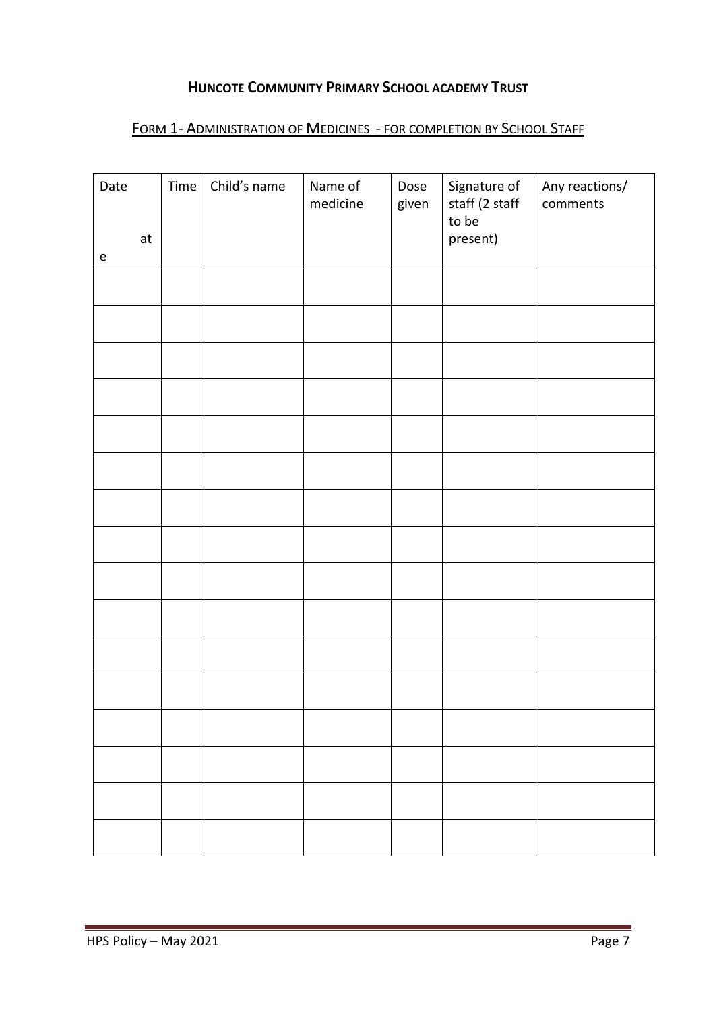## **HUNCOTE COMMUNITY PRIMARY SCHOOL ACADEMY TRUST**

# FORM 1- ADMINISTRATION OF MEDICINES - FOR COMPLETION BY SCHOOL STAFF

| Date<br>at<br>$\mathsf e$ | Time | Child's name | Name of<br>medicine | Dose<br>given | Signature of<br>staff (2 staff<br>to be<br>present) | Any reactions/<br>comments |
|---------------------------|------|--------------|---------------------|---------------|-----------------------------------------------------|----------------------------|
|                           |      |              |                     |               |                                                     |                            |
|                           |      |              |                     |               |                                                     |                            |
|                           |      |              |                     |               |                                                     |                            |
|                           |      |              |                     |               |                                                     |                            |
|                           |      |              |                     |               |                                                     |                            |
|                           |      |              |                     |               |                                                     |                            |
|                           |      |              |                     |               |                                                     |                            |
|                           |      |              |                     |               |                                                     |                            |
|                           |      |              |                     |               |                                                     |                            |
|                           |      |              |                     |               |                                                     |                            |
|                           |      |              |                     |               |                                                     |                            |
|                           |      |              |                     |               |                                                     |                            |
|                           |      |              |                     |               |                                                     |                            |
|                           |      |              |                     |               |                                                     |                            |
|                           |      |              |                     |               |                                                     |                            |
|                           |      |              |                     |               |                                                     |                            |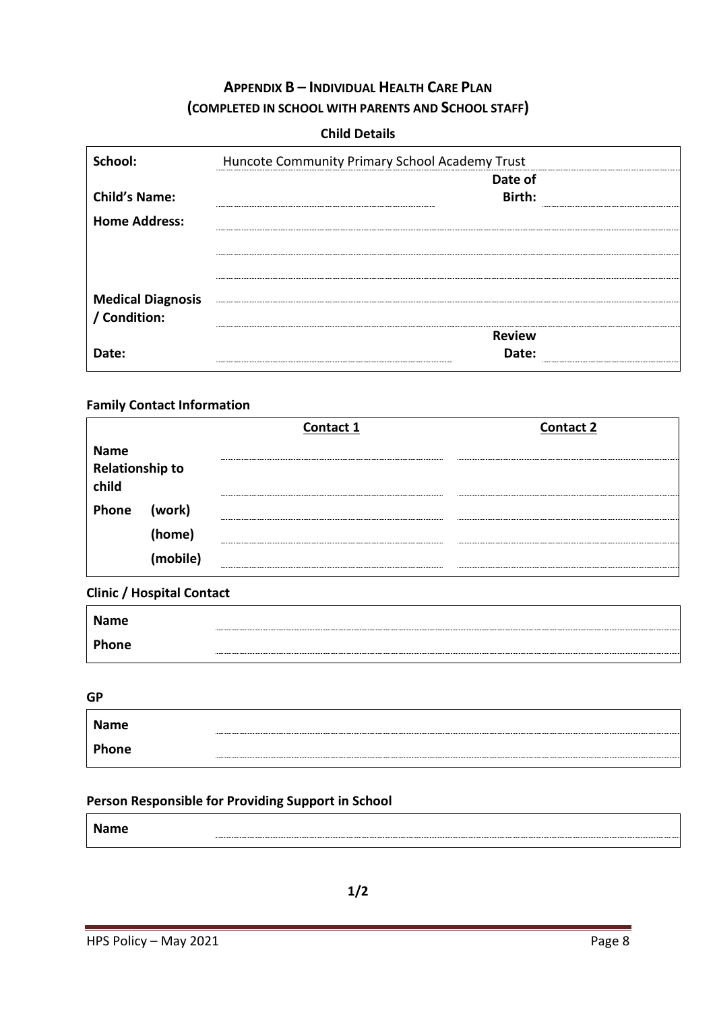# **APPENDIX B – INDIVIDUAL HEALTH CARE PLAN (COMPLETED IN SCHOOL WITH PARENTS AND SCHOOL STAFF)**

## **Child Details**

| School:                  | Huncote Community Primary School Academy Trust |
|--------------------------|------------------------------------------------|
|                          | Date of                                        |
| <b>Child's Name:</b>     | Birth:                                         |
| <b>Home Address:</b>     |                                                |
|                          |                                                |
|                          |                                                |
| <b>Medical Diagnosis</b> |                                                |
| / Condition:             |                                                |
|                          | <b>Review</b>                                  |
| Date:                    | Date:                                          |

## **Family Contact Information**

|                          |                    | Contact 1 | <b>Contact 2</b> |
|--------------------------|--------------------|-----------|------------------|
| <b>Name</b>              |                    |           |                  |
| Relationship to<br>child |                    |           |                  |
| Phone                    | (work)             |           |                  |
|                          | (home)<br>in a shi |           |                  |
|                          | (mobile)           |           |                  |

## **Clinic / Hospital Contact**

| Name  |  |
|-------|--|
| Phone |  |

**GP**

| <b>Name</b> |  |
|-------------|--|
| Phone       |  |

## **Person Responsible for Providing Support in School**

| <b>Name</b> |  |
|-------------|--|
|             |  |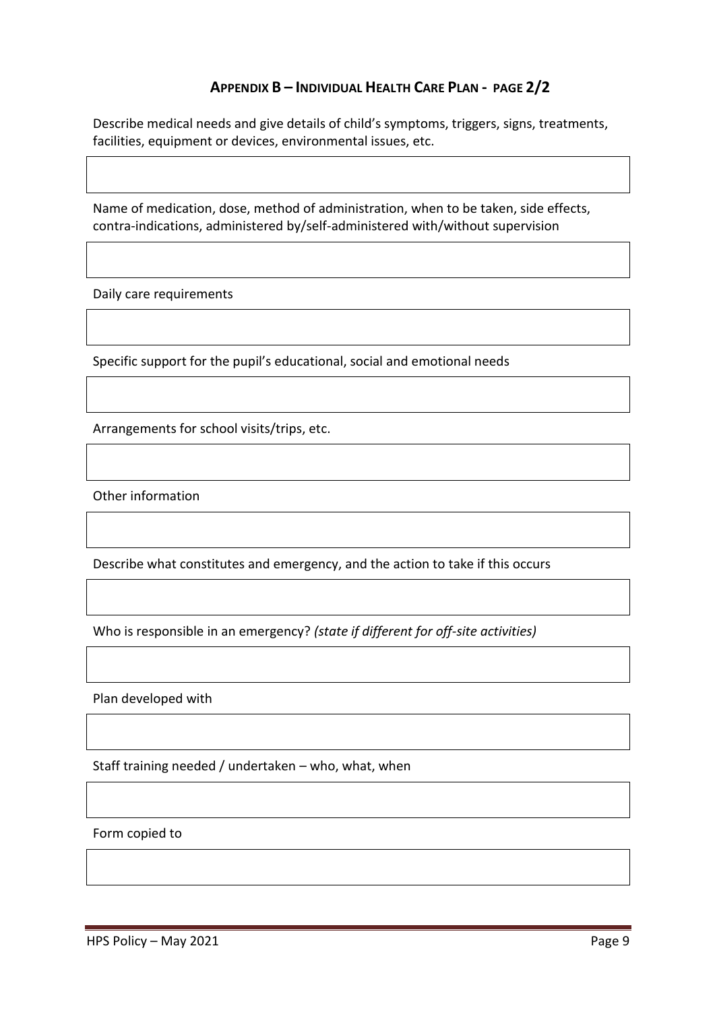## **APPENDIX B – INDIVIDUAL HEALTH CARE PLAN - PAGE 2/2**

Describe medical needs and give details of child's symptoms, triggers, signs, treatments, facilities, equipment or devices, environmental issues, etc.

Name of medication, dose, method of administration, when to be taken, side effects, contra-indications, administered by/self-administered with/without supervision

Daily care requirements

Specific support for the pupil's educational, social and emotional needs

Arrangements for school visits/trips, etc.

Other information

Describe what constitutes and emergency, and the action to take if this occurs

Who is responsible in an emergency? *(state if different for off-site activities)*

Plan developed with

Staff training needed / undertaken – who, what, when

Form copied to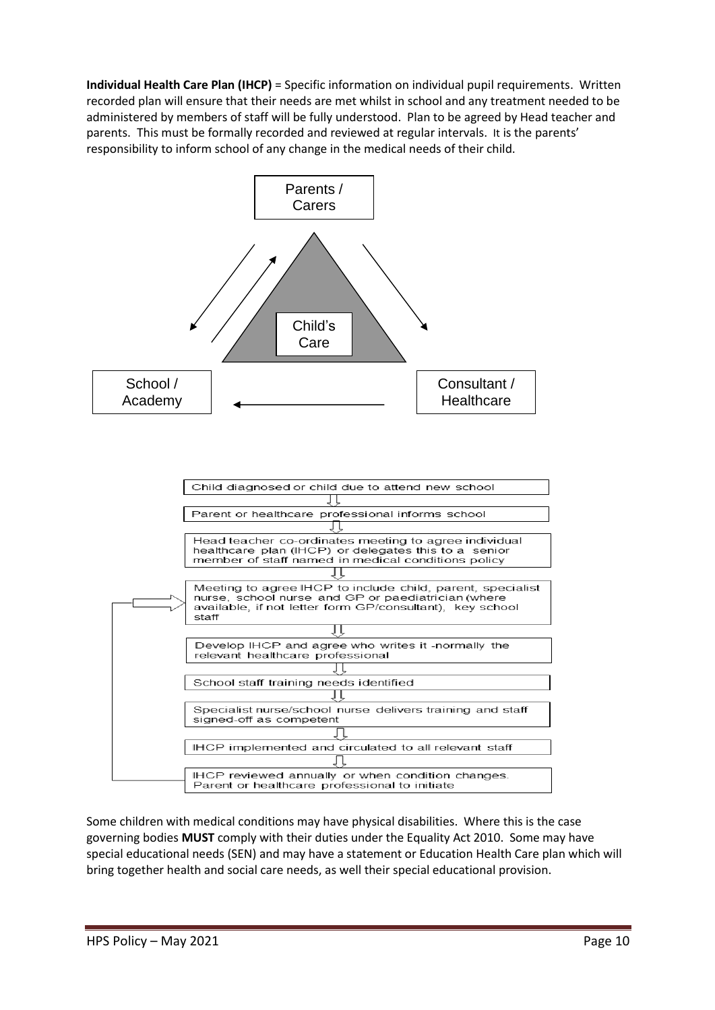**Individual Health Care Plan (IHCP)** = Specific information on individual pupil requirements. Written recorded plan will ensure that their needs are met whilst in school and any treatment needed to be administered by members of staff will be fully understood. Plan to be agreed by Head teacher and parents. This must be formally recorded and reviewed at regular intervals. It is the parents' responsibility to inform school of any change in the medical needs of their child.



Some children with medical conditions may have physical disabilities. Where this is the case governing bodies **MUST** comply with their duties under the Equality Act 2010. Some may have special educational needs (SEN) and may have a statement or Education Health Care plan which will bring together health and social care needs, as well their special educational provision.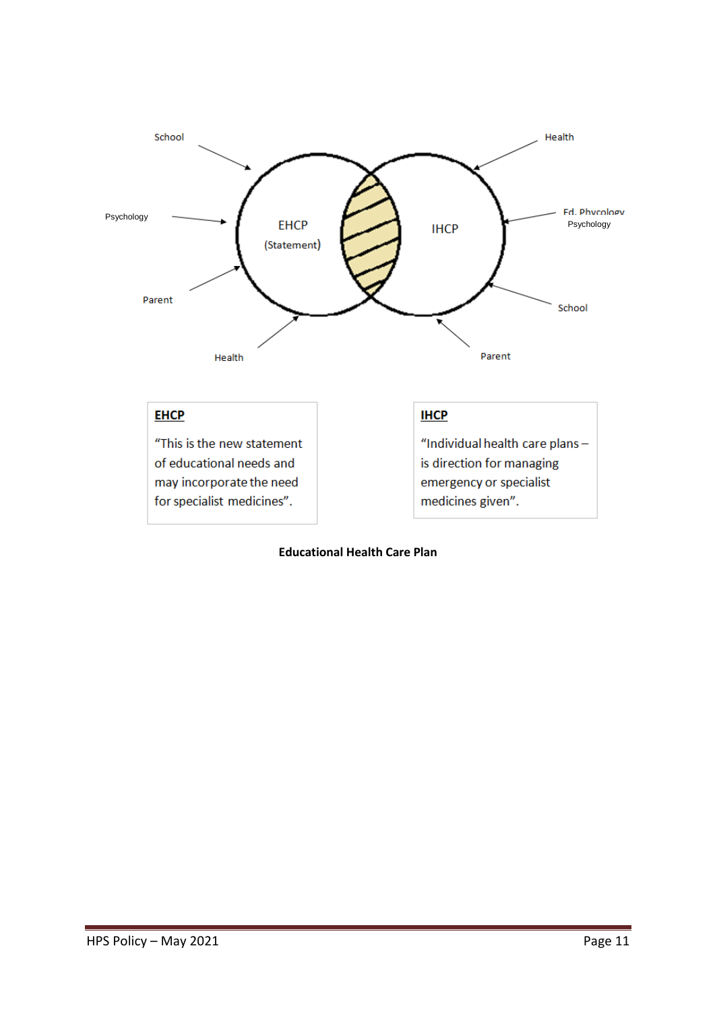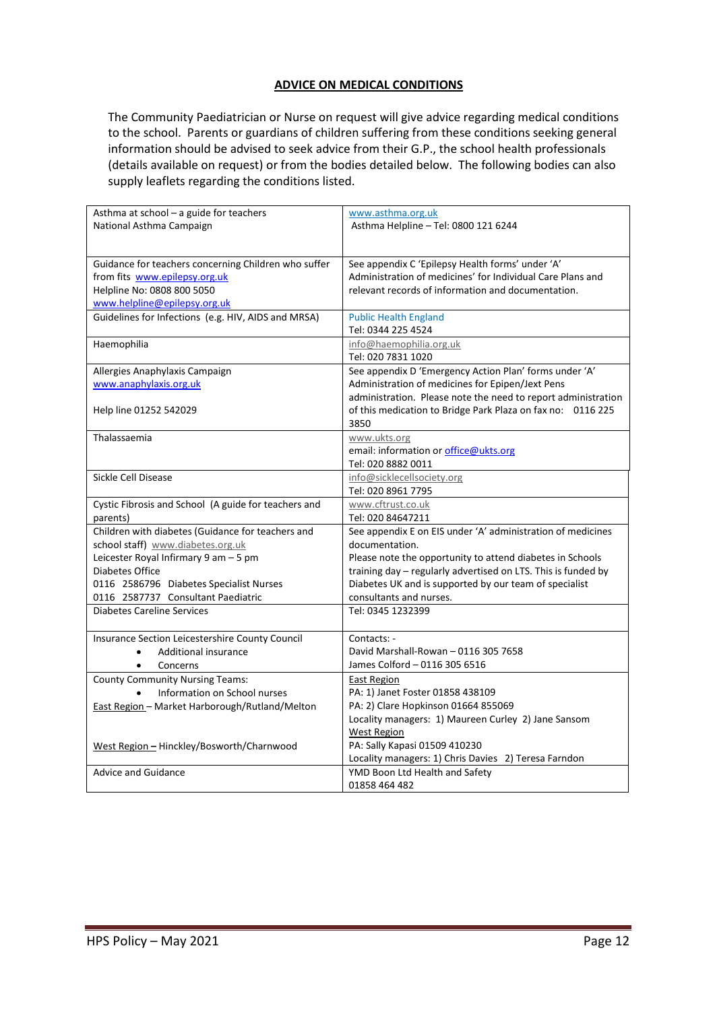#### **ADVICE ON MEDICAL CONDITIONS**

The Community Paediatrician or Nurse on request will give advice regarding medical conditions to the school. Parents or guardians of children suffering from these conditions seeking general information should be advised to seek advice from their G.P., the school health professionals (details available on request) or from the bodies detailed below. The following bodies can also supply leaflets regarding the conditions listed.

| Asthma at school - a guide for teachers              | www.asthma.org.uk                                             |
|------------------------------------------------------|---------------------------------------------------------------|
| National Asthma Campaign                             | Asthma Helpline - Tel: 0800 121 6244                          |
|                                                      |                                                               |
|                                                      |                                                               |
| Guidance for teachers concerning Children who suffer | See appendix C 'Epilepsy Health forms' under 'A'              |
| from fits www.epilepsy.org.uk                        | Administration of medicines' for Individual Care Plans and    |
| Helpline No: 0808 800 5050                           | relevant records of information and documentation.            |
| www.helpline@epilepsy.org.uk                         |                                                               |
| Guidelines for Infections (e.g. HIV, AIDS and MRSA)  | <b>Public Health England</b>                                  |
|                                                      | Tel: 0344 225 4524                                            |
| Haemophilia                                          | info@haemophilia.org.uk                                       |
|                                                      | Tel: 020 7831 1020                                            |
| Allergies Anaphylaxis Campaign                       | See appendix D 'Emergency Action Plan' forms under 'A'        |
| www.anaphylaxis.org.uk                               | Administration of medicines for Epipen/Jext Pens              |
|                                                      | administration. Please note the need to report administration |
| Help line 01252 542029                               | of this medication to Bridge Park Plaza on fax no: 0116 225   |
|                                                      | 3850                                                          |
| Thalassaemia                                         | www.ukts.org                                                  |
|                                                      | email: information or office@ukts.org                         |
|                                                      | Tel: 020 8882 0011                                            |
| Sickle Cell Disease                                  | info@sicklecellsociety.org                                    |
|                                                      | Tel: 020 8961 7795                                            |
| Cystic Fibrosis and School (A guide for teachers and | www.cftrust.co.uk                                             |
| parents)                                             | Tel: 020 84647211                                             |
| Children with diabetes (Guidance for teachers and    | See appendix E on EIS under 'A' administration of medicines   |
| school staff) www.diabetes.org.uk                    | documentation.                                                |
| Leicester Royal Infirmary 9 am - 5 pm                | Please note the opportunity to attend diabetes in Schools     |
| Diabetes Office                                      | training day - regularly advertised on LTS. This is funded by |
| 0116 2586796 Diabetes Specialist Nurses              | Diabetes UK and is supported by our team of specialist        |
| 0116 2587737 Consultant Paediatric                   | consultants and nurses.                                       |
| <b>Diabetes Careline Services</b>                    | Tel: 0345 1232399                                             |
|                                                      |                                                               |
| Insurance Section Leicestershire County Council      | Contacts: -                                                   |
| <b>Additional insurance</b>                          | David Marshall-Rowan - 0116 305 7658                          |
| Concerns<br>$\bullet$                                | James Colford - 0116 305 6516                                 |
| <b>County Community Nursing Teams:</b>               | East Region                                                   |
| Information on School nurses                         | PA: 1) Janet Foster 01858 438109                              |
| East Region - Market Harborough/Rutland/Melton       | PA: 2) Clare Hopkinson 01664 855069                           |
|                                                      | Locality managers: 1) Maureen Curley 2) Jane Sansom           |
|                                                      | <b>West Region</b>                                            |
| West Region - Hinckley/Bosworth/Charnwood            | PA: Sally Kapasi 01509 410230                                 |
|                                                      | Locality managers: 1) Chris Davies 2) Teresa Farndon          |
| <b>Advice and Guidance</b>                           | YMD Boon Ltd Health and Safety                                |
|                                                      | 01858 464 482                                                 |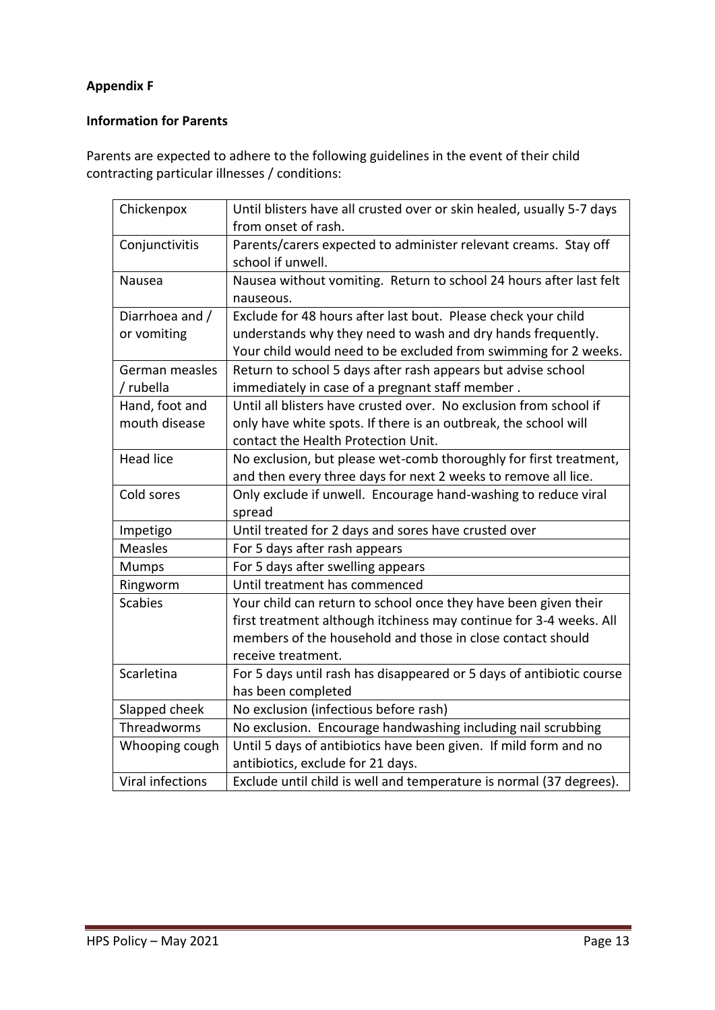## **Appendix F**

## **Information for Parents**

Parents are expected to adhere to the following guidelines in the event of their child contracting particular illnesses / conditions:

| Chickenpox       | Until blisters have all crusted over or skin healed, usually 5-7 days<br>from onset of rash. |
|------------------|----------------------------------------------------------------------------------------------|
| Conjunctivitis   | Parents/carers expected to administer relevant creams. Stay off<br>school if unwell.         |
| Nausea           | Nausea without vomiting. Return to school 24 hours after last felt<br>nauseous.              |
| Diarrhoea and /  | Exclude for 48 hours after last bout. Please check your child                                |
| or vomiting      | understands why they need to wash and dry hands frequently.                                  |
|                  | Your child would need to be excluded from swimming for 2 weeks.                              |
| German measles   | Return to school 5 days after rash appears but advise school                                 |
| / rubella        | immediately in case of a pregnant staff member.                                              |
| Hand, foot and   | Until all blisters have crusted over. No exclusion from school if                            |
| mouth disease    | only have white spots. If there is an outbreak, the school will                              |
|                  | contact the Health Protection Unit.                                                          |
| <b>Head lice</b> | No exclusion, but please wet-comb thoroughly for first treatment,                            |
|                  | and then every three days for next 2 weeks to remove all lice.                               |
| Cold sores       | Only exclude if unwell. Encourage hand-washing to reduce viral<br>spread                     |
| Impetigo         | Until treated for 2 days and sores have crusted over                                         |
| <b>Measles</b>   | For 5 days after rash appears                                                                |
| <b>Mumps</b>     | For 5 days after swelling appears                                                            |
| Ringworm         | Until treatment has commenced                                                                |
| <b>Scabies</b>   | Your child can return to school once they have been given their                              |
|                  | first treatment although itchiness may continue for 3-4 weeks. All                           |
|                  | members of the household and those in close contact should                                   |
|                  | receive treatment.                                                                           |
| Scarletina       | For 5 days until rash has disappeared or 5 days of antibiotic course                         |
|                  | has been completed                                                                           |
| Slapped cheek    | No exclusion (infectious before rash)                                                        |
| Threadworms      | No exclusion. Encourage handwashing including nail scrubbing                                 |
| Whooping cough   | Until 5 days of antibiotics have been given. If mild form and no                             |
|                  | antibiotics, exclude for 21 days.                                                            |
| Viral infections | Exclude until child is well and temperature is normal (37 degrees).                          |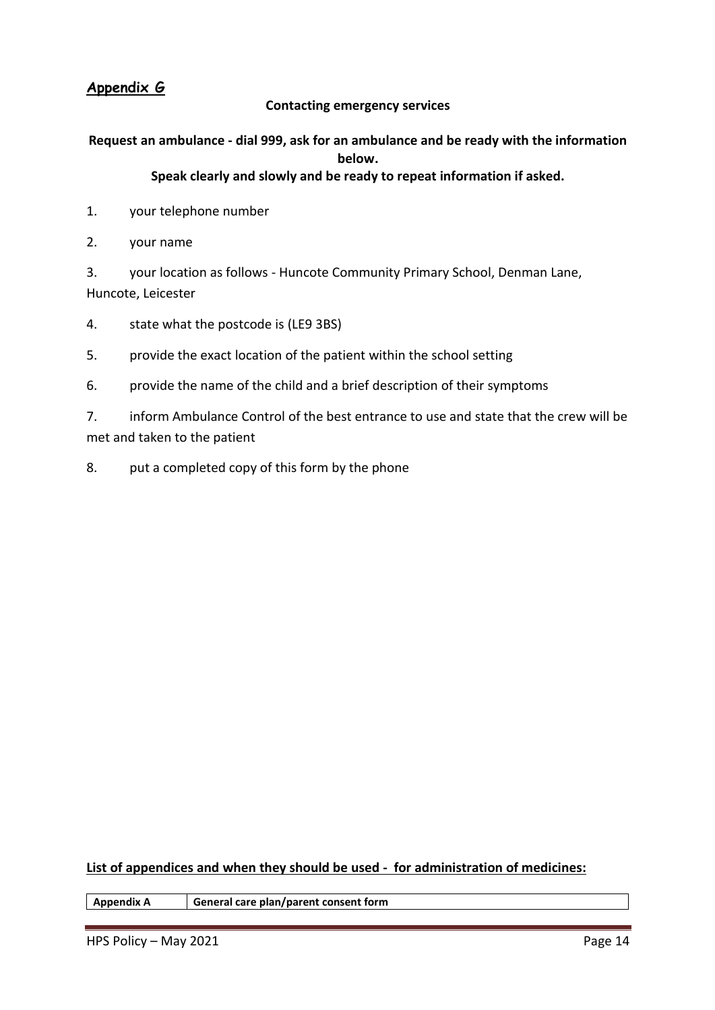## **Appendix G**

### **Contacting emergency services**

# **Request an ambulance - dial 999, ask for an ambulance and be ready with the information below.**

## **Speak clearly and slowly and be ready to repeat information if asked.**

- 1. your telephone number
- 2. your name

3. your location as follows - Huncote Community Primary School, Denman Lane, Huncote, Leicester

- 4. state what the postcode is (LE9 3BS)
- 5. provide the exact location of the patient within the school setting
- 6. provide the name of the child and a brief description of their symptoms

7. inform Ambulance Control of the best entrance to use and state that the crew will be met and taken to the patient

8. put a completed copy of this form by the phone

**List of appendices and when they should be used - for administration of medicines:**

**Appendix A General care plan/parent consent form**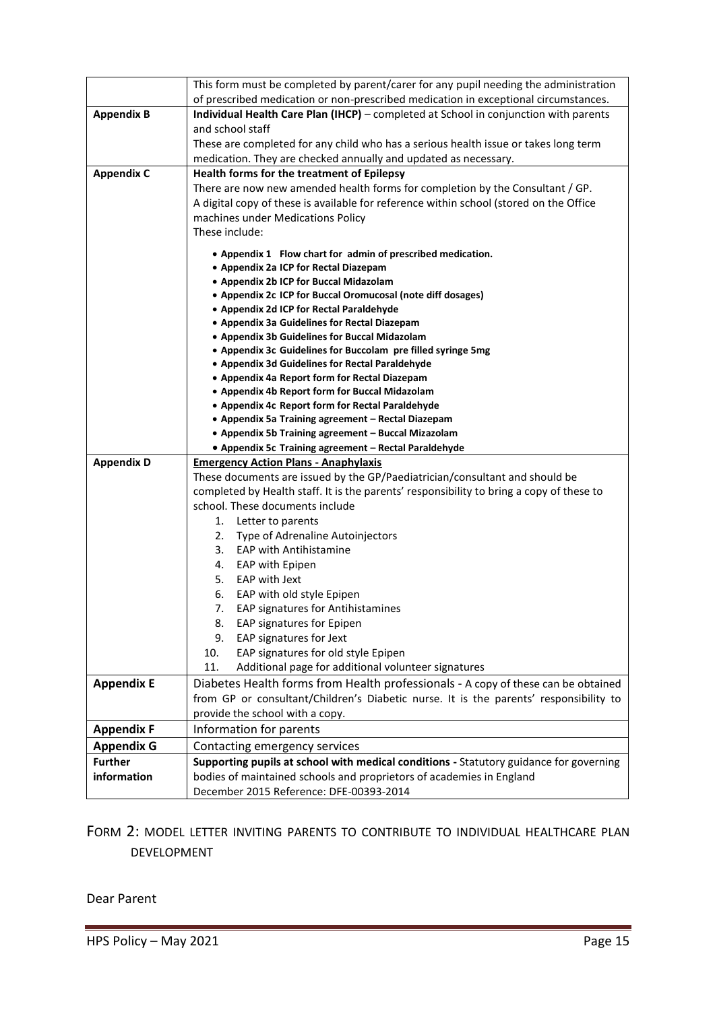|                   | This form must be completed by parent/carer for any pupil needing the administration            |
|-------------------|-------------------------------------------------------------------------------------------------|
|                   | of prescribed medication or non-prescribed medication in exceptional circumstances.             |
| <b>Appendix B</b> | Individual Health Care Plan (IHCP) - completed at School in conjunction with parents            |
|                   | and school staff                                                                                |
|                   | These are completed for any child who has a serious health issue or takes long term             |
|                   | medication. They are checked annually and updated as necessary.                                 |
| <b>Appendix C</b> | Health forms for the treatment of Epilepsy                                                      |
|                   | There are now new amended health forms for completion by the Consultant / GP.                   |
|                   | A digital copy of these is available for reference within school (stored on the Office          |
|                   | machines under Medications Policy                                                               |
|                   | These include:                                                                                  |
|                   | • Appendix 1 Flow chart for admin of prescribed medication.                                     |
|                   | • Appendix 2a ICP for Rectal Diazepam                                                           |
|                   | • Appendix 2b ICP for Buccal Midazolam                                                          |
|                   | • Appendix 2c ICP for Buccal Oromucosal (note diff dosages)                                     |
|                   | • Appendix 2d ICP for Rectal Paraldehyde                                                        |
|                   | • Appendix 3a Guidelines for Rectal Diazepam                                                    |
|                   | • Appendix 3b Guidelines for Buccal Midazolam                                                   |
|                   | • Appendix 3c Guidelines for Buccolam pre filled syringe 5mg                                    |
|                   | • Appendix 3d Guidelines for Rectal Paraldehyde                                                 |
|                   | • Appendix 4a Report form for Rectal Diazepam<br>• Appendix 4b Report form for Buccal Midazolam |
|                   | • Appendix 4c Report form for Rectal Paraldehyde                                                |
|                   | • Appendix 5a Training agreement - Rectal Diazepam                                              |
|                   | • Appendix 5b Training agreement - Buccal Mizazolam                                             |
|                   |                                                                                                 |
|                   | • Appendix 5c Training agreement - Rectal Paraldehyde                                           |
| <b>Appendix D</b> | <b>Emergency Action Plans - Anaphylaxis</b>                                                     |
|                   | These documents are issued by the GP/Paediatrician/consultant and should be                     |
|                   | completed by Health staff. It is the parents' responsibility to bring a copy of these to        |
|                   | school. These documents include                                                                 |
|                   | 1.<br>Letter to parents                                                                         |
|                   | Type of Adrenaline Autoinjectors<br>2.                                                          |
|                   | 3. EAP with Antihistamine                                                                       |
|                   | EAP with Epipen<br>4.                                                                           |
|                   | EAP with Jext<br>5.                                                                             |
|                   | 6.<br>EAP with old style Epipen                                                                 |
|                   | 7.<br><b>EAP signatures for Antihistamines</b>                                                  |
|                   | EAP signatures for Epipen<br>8.                                                                 |
|                   | 9.<br>EAP signatures for Jext                                                                   |
|                   | EAP signatures for old style Epipen<br>10.                                                      |
|                   | 11.<br>Additional page for additional volunteer signatures                                      |
| <b>Appendix E</b> | Diabetes Health forms from Health professionals - A copy of these can be obtained               |
|                   | from GP or consultant/Children's Diabetic nurse. It is the parents' responsibility to           |
|                   | provide the school with a copy.                                                                 |
| <b>Appendix F</b> | Information for parents                                                                         |
| <b>Appendix G</b> | Contacting emergency services                                                                   |
| <b>Further</b>    | Supporting pupils at school with medical conditions - Statutory guidance for governing          |
| information       | bodies of maintained schools and proprietors of academies in England                            |

# FORM 2: MODEL LETTER INVITING PARENTS TO CONTRIBUTE TO INDIVIDUAL HEALTHCARE PLAN DEVELOPMENT

Dear Parent